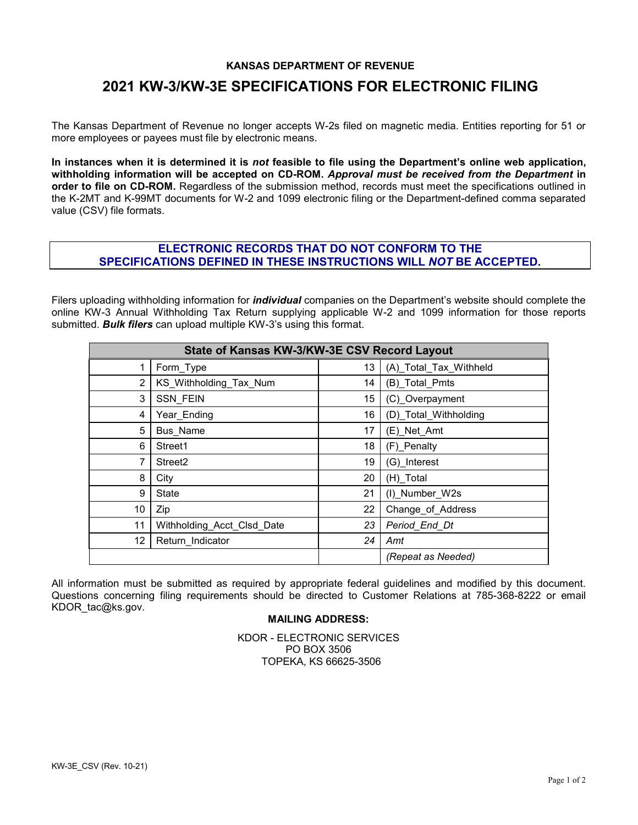## **KANSAS DEPARTMENT OF REVENUE**

## **2021 KW-3/KW-3E SPECIFICATIONS FOR ELECTRONIC FILING**

The Kansas Department of Revenue no longer accepts W-2s filed on magnetic media. Entities reporting for 51 or more employees or payees must file by electronic means.

**In instances when it is determined it is** *not* **feasible to file using the Department's online web application, withholding information will be accepted on CD-ROM.** *Approval must be received from the Department* **in order to file on CD-ROM.** Regardless of the submission method, records must meet the specifications outlined in the K-2MT and K-99MT documents for W-2 and 1099 electronic filing or the Department-defined comma separated value (CSV) file formats.

## **ELECTRONIC RECORDS THAT DO NOT CONFORM TO THE SPECIFICATIONS DEFINED IN THESE INSTRUCTIONS WILL** *NOT* **BE ACCEPTED.**

Filers uploading withholding information for *individual* companies on the Department's website should complete the online KW-3 Annual Withholding Tax Return supplying applicable W-2 and 1099 information for those reports submitted. *Bulk filers* can upload multiple KW-3's using this format.

| State of Kansas KW-3/KW-3E CSV Record Layout |                            |    |                        |  |  |
|----------------------------------------------|----------------------------|----|------------------------|--|--|
| 1                                            | Form_Type                  | 13 | (A) Total Tax Withheld |  |  |
| 2                                            | KS Withholding_Tax_Num     | 14 | (B) Total Pmts         |  |  |
| 3                                            | <b>SSN FEIN</b>            | 15 | (C) Overpayment        |  |  |
| 4                                            | Year Ending                | 16 | (D) Total Withholding  |  |  |
| 5                                            | <b>Bus Name</b>            | 17 | (E) Net Amt            |  |  |
| 6                                            | Street1                    | 18 | (F) Penalty            |  |  |
| 7                                            | Street <sub>2</sub>        | 19 | (G) Interest           |  |  |
| 8                                            | City                       | 20 | (H) Total              |  |  |
| 9                                            | State                      | 21 | (I) Number W2s         |  |  |
| 10                                           | Zip                        | 22 | Change of Address      |  |  |
| 11                                           | Withholding_Acct_Clsd_Date | 23 | Period_End_Dt          |  |  |
| 12                                           | Return Indicator           | 24 | Amt                    |  |  |
|                                              |                            |    | (Repeat as Needed)     |  |  |

All information must be submitted as required by appropriate federal guidelines and modified by this document. Questions concerning filing requirements should be directed to Customer Relations at 785-368-8222 or email KDOR\_tac@ks.gov.

## **MAILING ADDRESS:**

KDOR - ELECTRONIC SERVICES PO BOX 3506 TOPEKA, KS 66625-3506